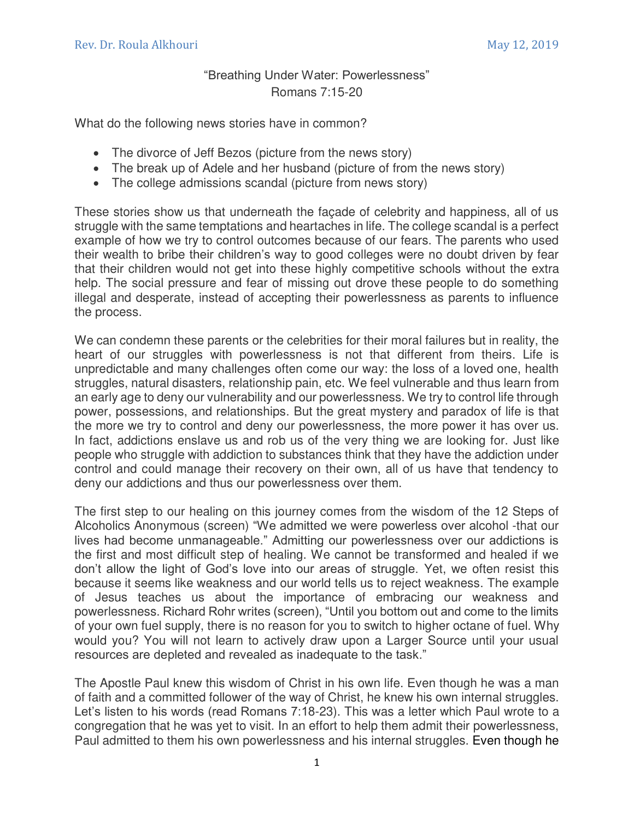## "Breathing Under Water: Powerlessness" Romans 7:15-20

What do the following news stories have in common?

- The divorce of Jeff Bezos (picture from the news story)
- The break up of Adele and her husband (picture of from the news story)
- The college admissions scandal (picture from news story)

These stories show us that underneath the façade of celebrity and happiness, all of us struggle with the same temptations and heartaches in life. The college scandal is a perfect example of how we try to control outcomes because of our fears. The parents who used their wealth to bribe their children's way to good colleges were no doubt driven by fear that their children would not get into these highly competitive schools without the extra help. The social pressure and fear of missing out drove these people to do something illegal and desperate, instead of accepting their powerlessness as parents to influence the process.

We can condemn these parents or the celebrities for their moral failures but in reality, the heart of our struggles with powerlessness is not that different from theirs. Life is unpredictable and many challenges often come our way: the loss of a loved one, health struggles, natural disasters, relationship pain, etc. We feel vulnerable and thus learn from an early age to deny our vulnerability and our powerlessness. We try to control life through power, possessions, and relationships. But the great mystery and paradox of life is that the more we try to control and deny our powerlessness, the more power it has over us. In fact, addictions enslave us and rob us of the very thing we are looking for. Just like people who struggle with addiction to substances think that they have the addiction under control and could manage their recovery on their own, all of us have that tendency to deny our addictions and thus our powerlessness over them.

The first step to our healing on this journey comes from the wisdom of the 12 Steps of Alcoholics Anonymous (screen) "We admitted we were powerless over alcohol -that our lives had become unmanageable." Admitting our powerlessness over our addictions is the first and most difficult step of healing. We cannot be transformed and healed if we don't allow the light of God's love into our areas of struggle. Yet, we often resist this because it seems like weakness and our world tells us to reject weakness. The example of Jesus teaches us about the importance of embracing our weakness and powerlessness. Richard Rohr writes (screen), "Until you bottom out and come to the limits of your own fuel supply, there is no reason for you to switch to higher octane of fuel. Why would you? You will not learn to actively draw upon a Larger Source until your usual resources are depleted and revealed as inadequate to the task."

The Apostle Paul knew this wisdom of Christ in his own life. Even though he was a man of faith and a committed follower of the way of Christ, he knew his own internal struggles. Let's listen to his words (read Romans 7:18-23). This was a letter which Paul wrote to a congregation that he was yet to visit. In an effort to help them admit their powerlessness, Paul admitted to them his own powerlessness and his internal struggles. Even though he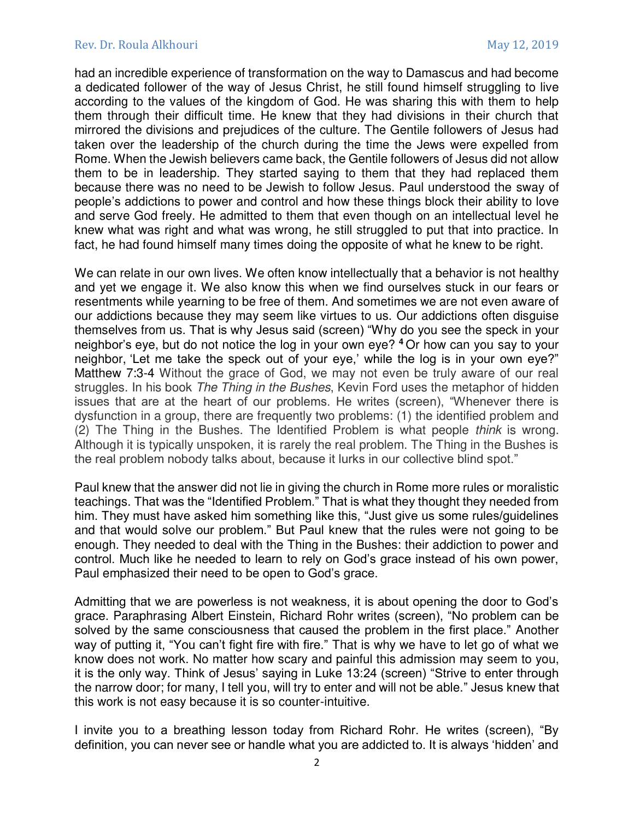had an incredible experience of transformation on the way to Damascus and had become a dedicated follower of the way of Jesus Christ, he still found himself struggling to live according to the values of the kingdom of God. He was sharing this with them to help them through their difficult time. He knew that they had divisions in their church that mirrored the divisions and prejudices of the culture. The Gentile followers of Jesus had taken over the leadership of the church during the time the Jews were expelled from Rome. When the Jewish believers came back, the Gentile followers of Jesus did not allow them to be in leadership. They started saying to them that they had replaced them because there was no need to be Jewish to follow Jesus. Paul understood the sway of people's addictions to power and control and how these things block their ability to love and serve God freely. He admitted to them that even though on an intellectual level he knew what was right and what was wrong, he still struggled to put that into practice. In fact, he had found himself many times doing the opposite of what he knew to be right.

We can relate in our own lives. We often know intellectually that a behavior is not healthy and yet we engage it. We also know this when we find ourselves stuck in our fears or resentments while yearning to be free of them. And sometimes we are not even aware of our addictions because they may seem like virtues to us. Our addictions often disguise themselves from us. That is why Jesus said (screen) "Why do you see the speck in your neighbor's eye, but do not notice the log in your own eye? **<sup>4</sup>**Or how can you say to your neighbor, 'Let me take the speck out of your eye,' while the log is in your own eye?" Matthew 7:3-4 Without the grace of God, we may not even be truly aware of our real struggles. In his book The Thing in the Bushes, Kevin Ford uses the metaphor of hidden issues that are at the heart of our problems. He writes (screen), "Whenever there is dysfunction in a group, there are frequently two problems: (1) the identified problem and (2) The Thing in the Bushes. The Identified Problem is what people think is wrong. Although it is typically unspoken, it is rarely the real problem. The Thing in the Bushes is the real problem nobody talks about, because it lurks in our collective blind spot."

Paul knew that the answer did not lie in giving the church in Rome more rules or moralistic teachings. That was the "Identified Problem." That is what they thought they needed from him. They must have asked him something like this, "Just give us some rules/guidelines and that would solve our problem." But Paul knew that the rules were not going to be enough. They needed to deal with the Thing in the Bushes: their addiction to power and control. Much like he needed to learn to rely on God's grace instead of his own power, Paul emphasized their need to be open to God's grace.

Admitting that we are powerless is not weakness, it is about opening the door to God's grace. Paraphrasing Albert Einstein, Richard Rohr writes (screen), "No problem can be solved by the same consciousness that caused the problem in the first place." Another way of putting it, "You can't fight fire with fire." That is why we have to let go of what we know does not work. No matter how scary and painful this admission may seem to you, it is the only way. Think of Jesus' saying in Luke 13:24 (screen) "Strive to enter through the narrow door; for many, I tell you, will try to enter and will not be able." Jesus knew that this work is not easy because it is so counter-intuitive.

I invite you to a breathing lesson today from Richard Rohr. He writes (screen), "By definition, you can never see or handle what you are addicted to. It is always 'hidden' and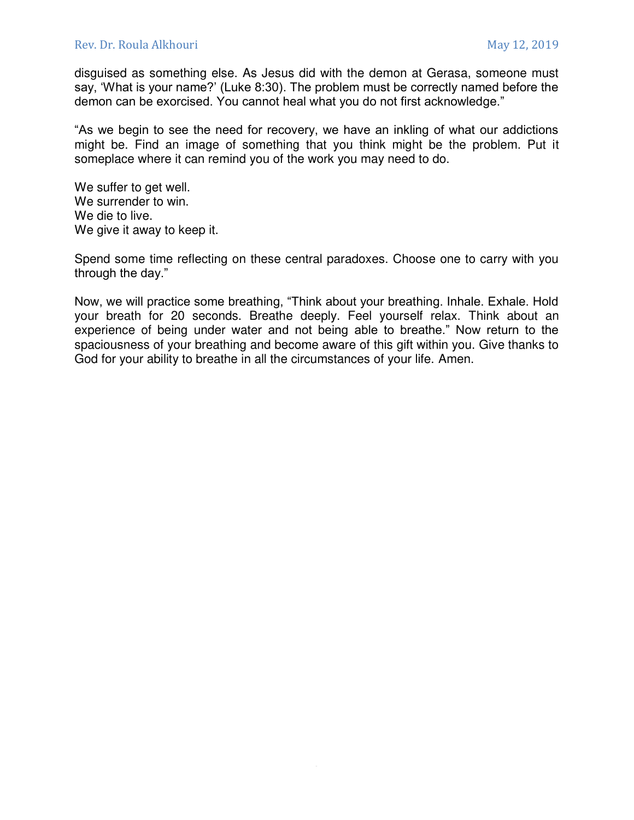disguised as something else. As Jesus did with the demon at Gerasa, someone must say, 'What is your name?' (Luke 8:30). The problem must be correctly named before the demon can be exorcised. You cannot heal what you do not first acknowledge."

"As we begin to see the need for recovery, we have an inkling of what our addictions might be. Find an image of something that you think might be the problem. Put it someplace where it can remind you of the work you may need to do.

We suffer to get well. We surrender to win. We die to live. We give it away to keep it.

Spend some time reflecting on these central paradoxes. Choose one to carry with you through the day."

Now, we will practice some breathing, "Think about your breathing. Inhale. Exhale. Hold your breath for 20 seconds. Breathe deeply. Feel yourself relax. Think about an experience of being under water and not being able to breathe." Now return to the spaciousness of your breathing and become aware of this gift within you. Give thanks to God for your ability to breathe in all the circumstances of your life. Amen.